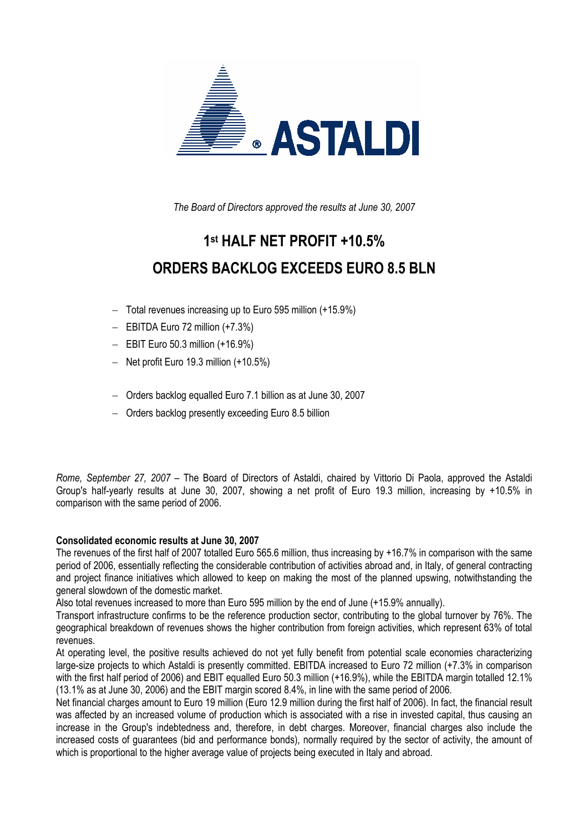

*The Board of Directors approved the results at June 30, 2007* 

# **1st HALF NET PROFIT +10.5% ORDERS BACKLOG EXCEEDS EURO 8.5 BLN**

- − Total revenues increasing up to Euro 595 million (+15.9%)
- − EBITDA Euro 72 million (+7.3%)
- − EBIT Euro 50.3 million (+16.9%)
- − Net profit Euro 19.3 million (+10.5%)
- − Orders backlog equalled Euro 7.1 billion as at June 30, 2007
- − Orders backlog presently exceeding Euro 8.5 billion

*Rome, September 27, 2007* – The Board of Directors of Astaldi, chaired by Vittorio Di Paola, approved the Astaldi Group's half-yearly results at June 30, 2007, showing a net profit of Euro 19.3 million, increasing by +10.5% in comparison with the same period of 2006.

# **Consolidated economic results at June 30, 2007**

The revenues of the first half of 2007 totalled Euro 565.6 million, thus increasing by +16.7% in comparison with the same period of 2006, essentially reflecting the considerable contribution of activities abroad and, in Italy, of general contracting and project finance initiatives which allowed to keep on making the most of the planned upswing, notwithstanding the general slowdown of the domestic market.

Also total revenues increased to more than Euro 595 million by the end of June (+15.9% annually).

Transport infrastructure confirms to be the reference production sector, contributing to the global turnover by 76%. The geographical breakdown of revenues shows the higher contribution from foreign activities, which represent 63% of total revenues.

At operating level, the positive results achieved do not yet fully benefit from potential scale economies characterizing large-size projects to which Astaldi is presently committed. EBITDA increased to Euro 72 million (+7.3% in comparison with the first half period of 2006) and EBIT equalled Euro 50.3 million (+16.9%), while the EBITDA margin totalled 12.1% (13.1% as at June 30, 2006) and the EBIT margin scored 8.4%, in line with the same period of 2006.

Net financial charges amount to Euro 19 million (Euro 12.9 million during the first half of 2006). In fact, the financial result was affected by an increased volume of production which is associated with a rise in invested capital, thus causing an increase in the Group's indebtedness and, therefore, in debt charges. Moreover, financial charges also include the increased costs of guarantees (bid and performance bonds), normally required by the sector of activity, the amount of which is proportional to the higher average value of projects being executed in Italy and abroad.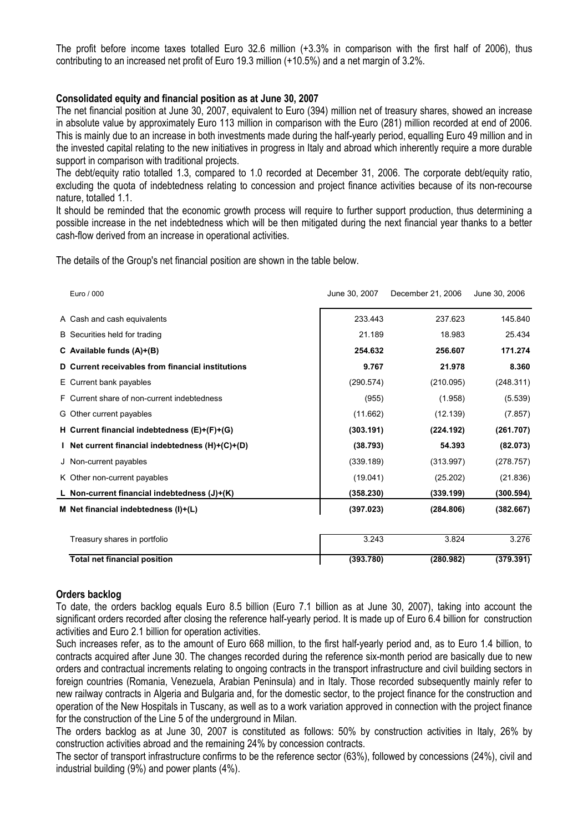The profit before income taxes totalled Euro 32.6 million (+3.3% in comparison with the first half of 2006), thus contributing to an increased net profit of Euro 19.3 million (+10.5%) and a net margin of 3.2%.

# **Consolidated equity and financial position as at June 30, 2007**

The net financial position at June 30, 2007, equivalent to Euro (394) million net of treasury shares, showed an increase in absolute value by approximately Euro 113 million in comparison with the Euro (281) million recorded at end of 2006. This is mainly due to an increase in both investments made during the half-yearly period, equalling Euro 49 million and in the invested capital relating to the new initiatives in progress in Italy and abroad which inherently require a more durable support in comparison with traditional projects.

The debt/equity ratio totalled 1.3, compared to 1.0 recorded at December 31, 2006. The corporate debt/equity ratio, excluding the quota of indebtedness relating to concession and project finance activities because of its non-recourse nature, totalled 1.1.

It should be reminded that the economic growth process will require to further support production, thus determining a possible increase in the net indebtedness which will be then mitigated during the next financial year thanks to a better cash-flow derived from an increase in operational activities.

The details of the Group's net financial position are shown in the table below.

| Euro / 000                                        | June 30, 2007 | December 21, 2006 | June 30, 2006 |
|---------------------------------------------------|---------------|-------------------|---------------|
| A Cash and cash equivalents                       | 233.443       | 237.623           | 145.840       |
| B Securities held for trading                     | 21.189        | 18.983            | 25.434        |
| C Available funds $(A)+(B)$                       | 254.632       | 256.607           | 171.274       |
| D Current receivables from financial institutions | 9.767         | 21.978            | 8.360         |
| E Current bank payables                           | (290.574)     | (210.095)         | (248.311)     |
| F Current share of non-current indebtedness       | (955)         | (1.958)           | (5.539)       |
| G Other current payables                          | (11.662)      | (12.139)          | (7.857)       |
| H Current financial indebtedness (E)+(F)+(G)      | (303.191)     | (224.192)         | (261.707)     |
| I Net current financial indebtedness (H)+(C)+(D)  | (38.793)      | 54.393            | (82.073)      |
| J Non-current payables                            | (339.189)     | (313.997)         | (278.757)     |
| K Other non-current payables                      | (19.041)      | (25.202)          | (21.836)      |
| L Non-current financial indebtedness (J)+(K)      | (358.230)     | (339.199)         | (300.594)     |
| M Net financial indebtedness (I)+(L)              | (397.023)     | (284.806)         | (382.667)     |
| Treasury shares in portfolio                      | 3.243         | 3.824             | 3.276         |
| <b>Total net financial position</b>               | (393.780)     | (280.982)         | (379.391)     |

# **Orders backlog**

To date, the orders backlog equals Euro 8.5 billion (Euro 7.1 billion as at June 30, 2007), taking into account the significant orders recorded after closing the reference half-yearly period. It is made up of Euro 6.4 billion for construction activities and Euro 2.1 billion for operation activities.

Such increases refer, as to the amount of Euro 668 million, to the first half-yearly period and, as to Euro 1.4 billion, to contracts acquired after June 30. The changes recorded during the reference six-month period are basically due to new orders and contractual increments relating to ongoing contracts in the transport infrastructure and civil building sectors in foreign countries (Romania, Venezuela, Arabian Peninsula) and in Italy. Those recorded subsequently mainly refer to new railway contracts in Algeria and Bulgaria and, for the domestic sector, to the project finance for the construction and operation of the New Hospitals in Tuscany, as well as to a work variation approved in connection with the project finance for the construction of the Line 5 of the underground in Milan.

The orders backlog as at June 30, 2007 is constituted as follows: 50% by construction activities in Italy, 26% by construction activities abroad and the remaining 24% by concession contracts.

The sector of transport infrastructure confirms to be the reference sector (63%), followed by concessions (24%), civil and industrial building (9%) and power plants (4%).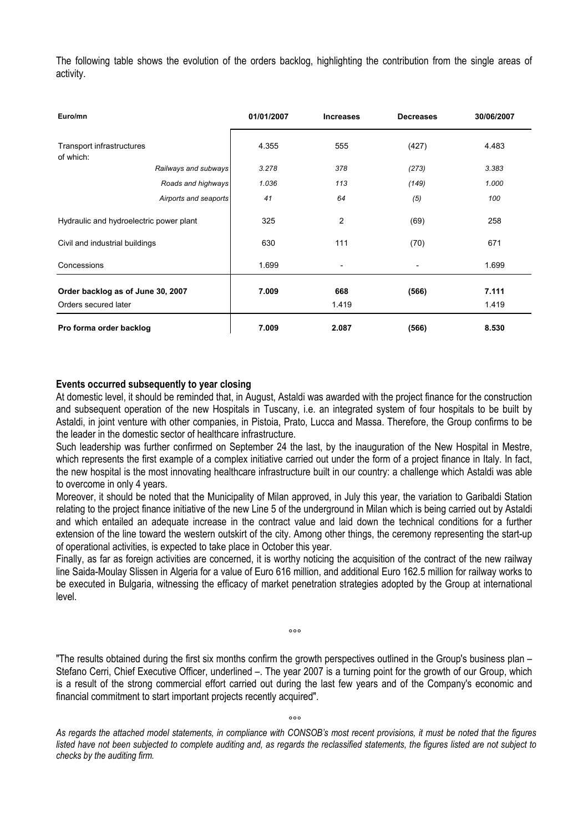The following table shows the evolution of the orders backlog, highlighting the contribution from the single areas of activity.

| Euro/mn                                 |                       | 01/01/2007 | <b>Increases</b>         | <b>Decreases</b>         | 30/06/2007 |
|-----------------------------------------|-----------------------|------------|--------------------------|--------------------------|------------|
| Transport infrastructures<br>of which:  |                       | 4.355      | 555                      | (427)                    | 4.483      |
|                                         | Railways and subways  | 3.278      | 378                      | (273)                    | 3.383      |
|                                         | Roads and highways    | 1.036      | 113                      | (149)                    | 1.000      |
|                                         | Airports and seaports | 41         | 64                       | (5)                      | 100        |
| Hydraulic and hydroelectric power plant |                       | 325        | 2                        | (69)                     | 258        |
| Civil and industrial buildings          |                       | 630        | 111                      | (70)                     | 671        |
| Concessions                             |                       | 1.699      | $\overline{\phantom{0}}$ | $\overline{\phantom{a}}$ | 1.699      |
| Order backlog as of June 30, 2007       |                       | 7.009      | 668                      | (566)                    | 7.111      |
| Orders secured later                    |                       |            | 1.419                    |                          | 1.419      |
| Pro forma order backlog                 |                       | 7.009      | 2.087                    | (566)                    | 8.530      |

# **Events occurred subsequently to year closing**

At domestic level, it should be reminded that, in August, Astaldi was awarded with the project finance for the construction and subsequent operation of the new Hospitals in Tuscany, i.e. an integrated system of four hospitals to be built by Astaldi, in joint venture with other companies, in Pistoia, Prato, Lucca and Massa. Therefore, the Group confirms to be the leader in the domestic sector of healthcare infrastructure.

Such leadership was further confirmed on September 24 the last, by the inauguration of the New Hospital in Mestre, which represents the first example of a complex initiative carried out under the form of a project finance in Italy. In fact, the new hospital is the most innovating healthcare infrastructure built in our country: a challenge which Astaldi was able to overcome in only 4 years.

Moreover, it should be noted that the Municipality of Milan approved, in July this year, the variation to Garibaldi Station relating to the project finance initiative of the new Line 5 of the underground in Milan which is being carried out by Astaldi and which entailed an adequate increase in the contract value and laid down the technical conditions for a further extension of the line toward the western outskirt of the city. Among other things, the ceremony representing the start-up of operational activities, is expected to take place in October this year.

Finally, as far as foreign activities are concerned, it is worthy noticing the acquisition of the contract of the new railway line Saida-Moulay Slissen in Algeria for a value of Euro 616 million, and additional Euro 162.5 million for railway works to be executed in Bulgaria, witnessing the efficacy of market penetration strategies adopted by the Group at international level.

"The results obtained during the first six months confirm the growth perspectives outlined in the Group's business plan -Stefano Cerri, Chief Executive Officer, underlined –. The year 2007 is a turning point for the growth of our Group, which is a result of the strong commercial effort carried out during the last few years and of the Company's economic and financial commitment to start important projects recently acquired".

*°°°* 

*As regards the attached model statements, in compliance with CONSOB's most recent provisions, it must be noted that the figures listed have not been subjected to complete auditing and, as regards the reclassified statements, the figures listed are not subject to checks by the auditing firm.*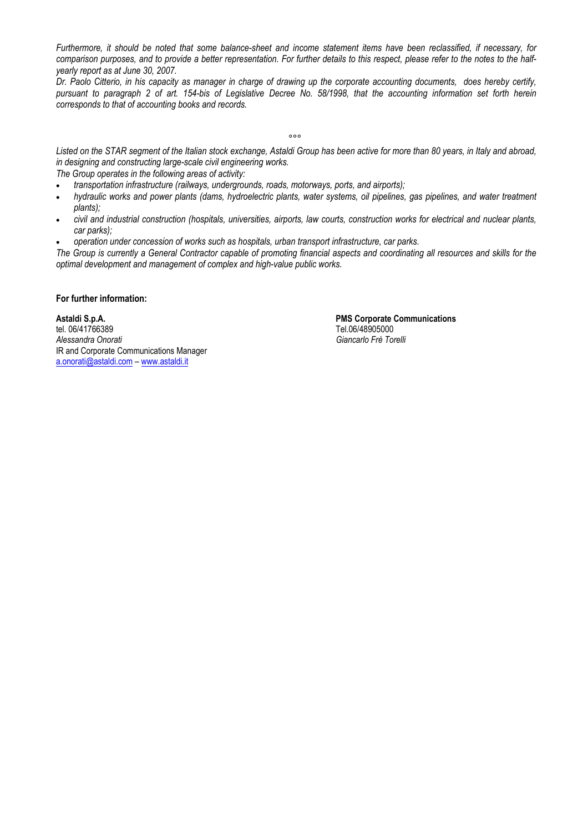*Furthermore, it should be noted that some balance-sheet and income statement items have been reclassified, if necessary, for comparison purposes, and to provide a better representation. For further details to this respect, please refer to the notes to the halfyearly report as at June 30, 2007.*

*Dr. Paolo Citterio, in his capacity as manager in charge of drawing up the corporate accounting documents, does hereby certify, pursuant to paragraph 2 of art. 154-bis of Legislative Decree No. 58/1998, that the accounting information set forth herein corresponds to that of accounting books and records.* 

*°°°* 

*Listed on the STAR segment of the Italian stock exchange, Astaldi Group has been active for more than 80 years, in Italy and abroad, in designing and constructing large-scale civil engineering works.* 

*The Group operates in the following areas of activity:* 

- *transportation infrastructure (railways, undergrounds, roads, motorways, ports, and airports);*
- *hydraulic works and power plants (dams, hydroelectric plants, water systems, oil pipelines, gas pipelines, and water treatment plants);*
- *civil and industrial construction (hospitals, universities, airports, law courts, construction works for electrical and nuclear plants, car parks);*
- *operation under concession of works such as hospitals, urban transport infrastructure, car parks.*

*The Group is currently a General Contractor capable of promoting financial aspects and coordinating all resources and skills for the optimal development and management of complex and high-value public works.* 

### **For further information:**

tel. 06/41766389<br>Alessandra Onorati del controllo del controllo del controllo del controllo del controllo del Colombia del Col<br>Giancarlo Frè Tol IR and Corporate Communications Manager a.onorati@astaldi.com – www.astaldi.it

**Astaldi S.p.A. PMS Corporate Communications** *Alessandra Onorati Giancarlo Frè Torelli*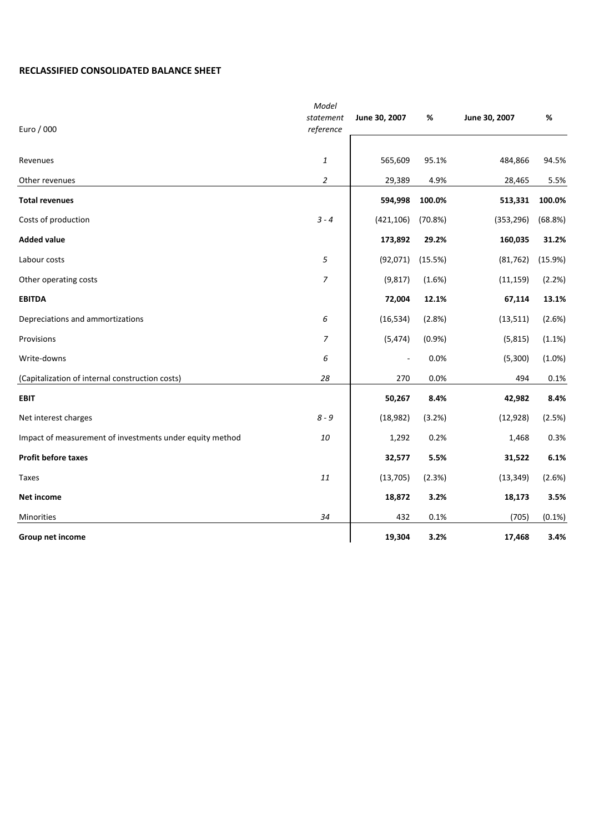# **RECLASSIFIED CONSOLIDATED BALANCE SHEET**

| Euro / 000                                               | Model<br>statement<br>reference | June 30, 2007  | %       | June 30, 2007 | %       |
|----------------------------------------------------------|---------------------------------|----------------|---------|---------------|---------|
| Revenues                                                 | $\mathbf{1}$                    | 565,609        | 95.1%   | 484,866       | 94.5%   |
| Other revenues                                           | $\overline{a}$                  | 29,389         | 4.9%    | 28,465        | 5.5%    |
| <b>Total revenues</b>                                    |                                 | 594,998        | 100.0%  | 513,331       | 100.0%  |
| Costs of production                                      | $3 - 4$                         | (421, 106)     | (70.8%) | (353, 296)    | (68.8%) |
| <b>Added value</b>                                       |                                 | 173,892        | 29.2%   | 160,035       | 31.2%   |
| Labour costs                                             | 5                               | (92,071)       | (15.5%) | (81, 762)     | (15.9%) |
| Other operating costs                                    | $\boldsymbol{7}$                | (9, 817)       | (1.6%)  | (11, 159)     | (2.2%)  |
| <b>EBITDA</b>                                            |                                 | 72,004         | 12.1%   | 67,114        | 13.1%   |
| Depreciations and ammortizations                         | 6                               | (16, 534)      | (2.8%)  | (13, 511)     | (2.6%)  |
| Provisions                                               | $\overline{7}$                  | (5, 474)       | (0.9%   | (5, 815)      | (1.1%)  |
| Write-downs                                              | 6                               | $\overline{a}$ | 0.0%    | (5,300)       | (1.0%)  |
| (Capitalization of internal construction costs)          | 28                              | 270            | 0.0%    | 494           | 0.1%    |
| <b>EBIT</b>                                              |                                 | 50,267         | 8.4%    | 42,982        | 8.4%    |
| Net interest charges                                     | $8 - 9$                         | (18, 982)      | (3.2%)  | (12, 928)     | (2.5%)  |
| Impact of measurement of investments under equity method | 10                              | 1,292          | 0.2%    | 1,468         | 0.3%    |
| Profit before taxes                                      |                                 | 32,577         | 5.5%    | 31,522        | 6.1%    |
| Taxes                                                    | 11                              | (13, 705)      | (2.3%)  | (13, 349)     | (2.6%)  |
| Net income                                               |                                 | 18,872         | 3.2%    | 18,173        | 3.5%    |
| Minorities                                               | 34                              | 432            | 0.1%    | (705)         | (0.1%)  |
| Group net income                                         |                                 | 19,304         | 3.2%    | 17,468        | 3.4%    |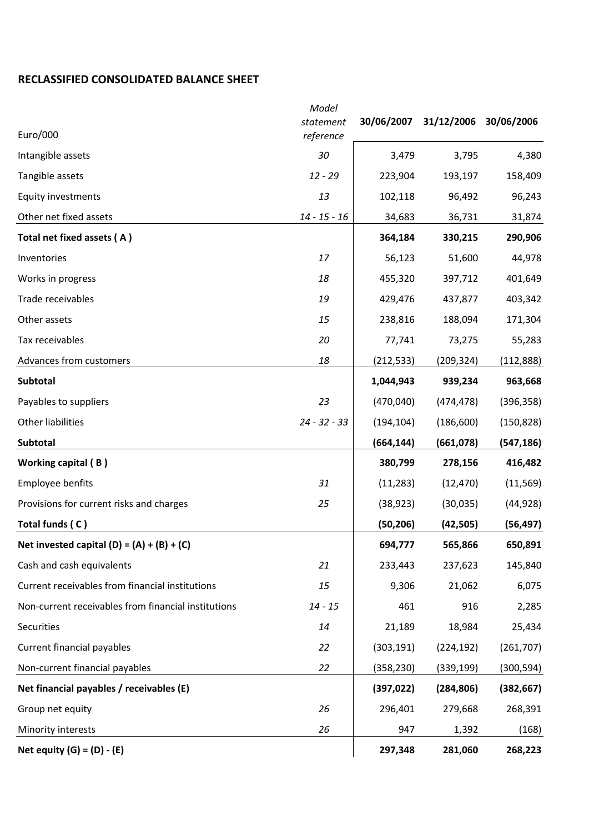# **RECLASSIFIED CONSOLIDATED BALANCE SHEET**

| Euro/000                                            | Model<br>statement<br>reference | 30/06/2007 | 31/12/2006 30/06/2006 |            |
|-----------------------------------------------------|---------------------------------|------------|-----------------------|------------|
| Intangible assets                                   | 30                              | 3,479      | 3,795                 | 4,380      |
| Tangible assets                                     | $12 - 29$                       | 223,904    | 193,197               | 158,409    |
| Equity investments                                  | 13                              | 102,118    | 96,492                | 96,243     |
| Other net fixed assets                              | $14 - 15 - 16$                  | 34,683     | 36,731                | 31,874     |
| Total net fixed assets (A)                          |                                 | 364,184    | 330,215               | 290,906    |
| Inventories                                         | 17                              | 56,123     | 51,600                | 44,978     |
| Works in progress                                   | 18                              | 455,320    | 397,712               | 401,649    |
| Trade receivables                                   | 19                              | 429,476    | 437,877               | 403,342    |
| Other assets                                        | 15                              | 238,816    | 188,094               | 171,304    |
| Tax receivables                                     | 20                              | 77,741     | 73,275                | 55,283     |
| Advances from customers                             | 18                              | (212, 533) | (209, 324)            | (112,888)  |
| Subtotal                                            |                                 | 1,044,943  | 939,234               | 963,668    |
| Payables to suppliers                               | 23                              | (470,040)  | (474, 478)            | (396, 358) |
| Other liabilities                                   | $24 - 32 - 33$                  | (194, 104) | (186, 600)            | (150, 828) |
| Subtotal                                            |                                 | (664, 144) | (661,078)             | (547,186)  |
| Working capital (B)                                 |                                 | 380,799    | 278,156               | 416,482    |
| Employee benfits                                    | 31                              | (11, 283)  | (12, 470)             | (11, 569)  |
| Provisions for current risks and charges            | 25                              | (38, 923)  | (30,035)              | (44, 928)  |
| Total funds (C)                                     |                                 | (50, 206)  | (42, 505)             | (56, 497)  |
| Net invested capital $(D) = (A) + (B) + (C)$        |                                 | 694,777    | 565,866               | 650,891    |
| Cash and cash equivalents                           | 21                              | 233,443    | 237,623               | 145,840    |
| Current receivables from financial institutions     | 15                              | 9,306      | 21,062                | 6,075      |
| Non-current receivables from financial institutions | $14 - 15$                       | 461        | 916                   | 2,285      |
| Securities                                          | 14                              | 21,189     | 18,984                | 25,434     |
| Current financial payables                          | 22                              | (303, 191) | (224, 192)            | (261,707)  |
| Non-current financial payables                      | 22                              | (358, 230) | (339, 199)            | (300, 594) |
| Net financial payables / receivables (E)            |                                 | (397, 022) | (284, 806)            | (382, 667) |
| Group net equity                                    | 26                              | 296,401    | 279,668               | 268,391    |
| Minority interests                                  | 26                              | 947        | 1,392                 | (168)      |
| Net equity $(G) = (D) - (E)$                        |                                 | 297,348    | 281,060               | 268,223    |